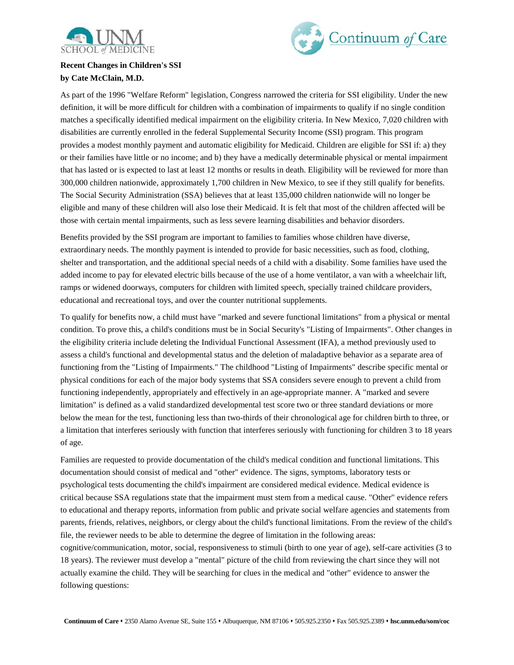



## **Recent Changes in Children's SSI by Cate McClain, M.D.**

As part of the 1996 "Welfare Reform" legislation, Congress narrowed the criteria for SSI eligibility. Under the new definition, it will be more difficult for children with a combination of impairments to qualify if no single condition matches a specifically identified medical impairment on the eligibility criteria. In New Mexico, 7,020 children with disabilities are currently enrolled in the federal Supplemental Security Income (SSI) program. This program provides a modest monthly payment and automatic eligibility for Medicaid. Children are eligible for SSI if: a) they or their families have little or no income; and b) they have a medically determinable physical or mental impairment that has lasted or is expected to last at least 12 months or results in death. Eligibility will be reviewed for more than 300,000 children nationwide, approximately 1,700 children in New Mexico, to see if they still qualify for benefits. The Social Security Administration (SSA) believes that at least 135,000 children nationwide will no longer be eligible and many of these children will also lose their Medicaid. It is felt that most of the children affected will be those with certain mental impairments, such as less severe learning disabilities and behavior disorders.

Benefits provided by the SSI program are important to families to families whose children have diverse, extraordinary needs. The monthly payment is intended to provide for basic necessities, such as food, clothing, shelter and transportation, and the additional special needs of a child with a disability. Some families have used the added income to pay for elevated electric bills because of the use of a home ventilator, a van with a wheelchair lift, ramps or widened doorways, computers for children with limited speech, specially trained childcare providers, educational and recreational toys, and over the counter nutritional supplements.

To qualify for benefits now, a child must have "marked and severe functional limitations" from a physical or mental condition. To prove this, a child's conditions must be in Social Security's "Listing of Impairments". Other changes in the eligibility criteria include deleting the Individual Functional Assessment (IFA), a method previously used to assess a child's functional and developmental status and the deletion of maladaptive behavior as a separate area of functioning from the "Listing of Impairments." The childhood "Listing of Impairments" describe specific mental or physical conditions for each of the major body systems that SSA considers severe enough to prevent a child from functioning independently, appropriately and effectively in an age-appropriate manner. A "marked and severe limitation" is defined as a valid standardized developmental test score two or three standard deviations or more below the mean for the test, functioning less than two-thirds of their chronological age for children birth to three, or a limitation that interferes seriously with function that interferes seriously with functioning for children 3 to 18 years of age.

Families are requested to provide documentation of the child's medical condition and functional limitations. This documentation should consist of medical and "other" evidence. The signs, symptoms, laboratory tests or psychological tests documenting the child's impairment are considered medical evidence. Medical evidence is critical because SSA regulations state that the impairment must stem from a medical cause. "Other" evidence refers to educational and therapy reports, information from public and private social welfare agencies and statements from parents, friends, relatives, neighbors, or clergy about the child's functional limitations. From the review of the child's file, the reviewer needs to be able to determine the degree of limitation in the following areas: cognitive/communication, motor, social, responsiveness to stimuli (birth to one year of age), self-care activities (3 to 18 years). The reviewer must develop a "mental" picture of the child from reviewing the chart since they will not actually examine the child. They will be searching for clues in the medical and "other" evidence to answer the following questions: